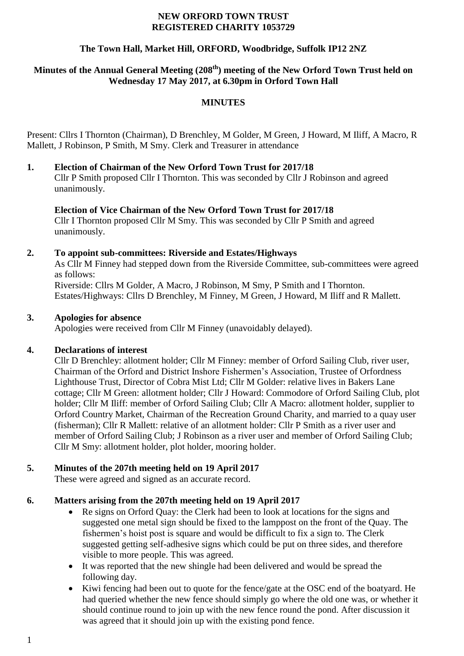#### **NEW ORFORD TOWN TRUST REGISTERED CHARITY 1053729**

### **The Town Hall, Market Hill, ORFORD, Woodbridge, Suffolk IP12 2NZ**

# **Minutes of the Annual General Meeting (208 th) meeting of the New Orford Town Trust held on Wednesday 17 May 2017, at 6.30pm in Orford Town Hall**

### **MINUTES**

Present: Cllrs I Thornton (Chairman), D Brenchley, M Golder, M Green, J Howard, M Iliff, A Macro, R Mallett, J Robinson, P Smith, M Smy. Clerk and Treasurer in attendance

#### **1. Election of Chairman of the New Orford Town Trust for 2017/18**

Cllr P Smith proposed Cllr I Thornton. This was seconded by Cllr J Robinson and agreed unanimously.

#### **Election of Vice Chairman of the New Orford Town Trust for 2017/18**

Cllr I Thornton proposed Cllr M Smy. This was seconded by Cllr P Smith and agreed unanimously.

#### **2. To appoint sub-committees: Riverside and Estates/Highways**

As Cllr M Finney had stepped down from the Riverside Committee, sub-committees were agreed as follows:

Riverside: Cllrs M Golder, A Macro, J Robinson, M Smy, P Smith and I Thornton. Estates/Highways: Cllrs D Brenchley, M Finney, M Green, J Howard, M Iliff and R Mallett.

#### **3. Apologies for absence**

Apologies were received from Cllr M Finney (unavoidably delayed).

### **4. Declarations of interest**

Cllr D Brenchley: allotment holder; Cllr M Finney: member of Orford Sailing Club, river user, Chairman of the Orford and District Inshore Fishermen's Association, Trustee of Orfordness Lighthouse Trust, Director of Cobra Mist Ltd; Cllr M Golder: relative lives in Bakers Lane cottage; Cllr M Green: allotment holder; Cllr J Howard: Commodore of Orford Sailing Club, plot holder; Cllr M Iliff: member of Orford Sailing Club; Cllr A Macro: allotment holder, supplier to Orford Country Market, Chairman of the Recreation Ground Charity, and married to a quay user (fisherman); Cllr R Mallett: relative of an allotment holder: Cllr P Smith as a river user and member of Orford Sailing Club; J Robinson as a river user and member of Orford Sailing Club; Cllr M Smy: allotment holder, plot holder, mooring holder.

### **5. Minutes of the 207th meeting held on 19 April 2017**

These were agreed and signed as an accurate record.

### **6. Matters arising from the 207th meeting held on 19 April 2017**

- Re signs on Orford Quay: the Clerk had been to look at locations for the signs and suggested one metal sign should be fixed to the lamppost on the front of the Quay. The fishermen's hoist post is square and would be difficult to fix a sign to. The Clerk suggested getting self-adhesive signs which could be put on three sides, and therefore visible to more people. This was agreed.
- It was reported that the new shingle had been delivered and would be spread the following day.
- Kiwi fencing had been out to quote for the fence/gate at the OSC end of the boatyard. He had queried whether the new fence should simply go where the old one was, or whether it should continue round to join up with the new fence round the pond. After discussion it was agreed that it should join up with the existing pond fence.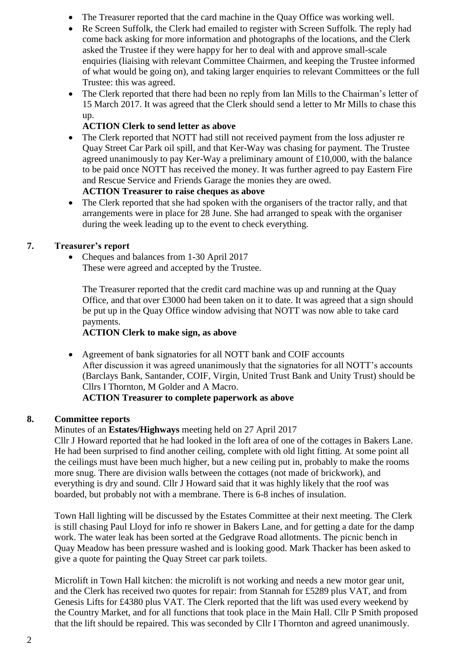- The Treasurer reported that the card machine in the Quay Office was working well.
- Re Screen Suffolk, the Clerk had emailed to register with Screen Suffolk. The reply had come back asking for more information and photographs of the locations, and the Clerk asked the Trustee if they were happy for her to deal with and approve small-scale enquiries (liaising with relevant Committee Chairmen, and keeping the Trustee informed of what would be going on), and taking larger enquiries to relevant Committees or the full Trustee: this was agreed.
- The Clerk reported that there had been no reply from Ian Mills to the Chairman's letter of 15 March 2017. It was agreed that the Clerk should send a letter to Mr Mills to chase this up.

# **ACTION Clerk to send letter as above**

 The Clerk reported that NOTT had still not received payment from the loss adjuster re Quay Street Car Park oil spill, and that Ker-Way was chasing for payment. The Trustee agreed unanimously to pay Ker-Way a preliminary amount of £10,000, with the balance to be paid once NOTT has received the money. It was further agreed to pay Eastern Fire and Rescue Service and Friends Garage the monies they are owed.

# **ACTION Treasurer to raise cheques as above**

• The Clerk reported that she had spoken with the organisers of the tractor rally, and that arrangements were in place for 28 June. She had arranged to speak with the organiser during the week leading up to the event to check everything.

# **7. Treasurer's report**

• Cheques and balances from 1-30 April 2017 These were agreed and accepted by the Trustee.

The Treasurer reported that the credit card machine was up and running at the Quay Office, and that over £3000 had been taken on it to date. It was agreed that a sign should be put up in the Quay Office window advising that NOTT was now able to take card payments.

### **ACTION Clerk to make sign, as above**

 Agreement of bank signatories for all NOTT bank and COIF accounts After discussion it was agreed unanimously that the signatories for all NOTT's accounts (Barclays Bank, Santander, COIF, Virgin, United Trust Bank and Unity Trust) should be Cllrs I Thornton, M Golder and A Macro.

### **ACTION Treasurer to complete paperwork as above**

# **8. Committee reports**

# Minutes of an **Estates/Highways** meeting held on 27 April 2017

Cllr J Howard reported that he had looked in the loft area of one of the cottages in Bakers Lane. He had been surprised to find another ceiling, complete with old light fitting. At some point all the ceilings must have been much higher, but a new ceiling put in, probably to make the rooms more snug. There are division walls between the cottages (not made of brickwork), and everything is dry and sound. Cllr J Howard said that it was highly likely that the roof was boarded, but probably not with a membrane. There is 6-8 inches of insulation.

Town Hall lighting will be discussed by the Estates Committee at their next meeting. The Clerk is still chasing Paul Lloyd for info re shower in Bakers Lane, and for getting a date for the damp work. The water leak has been sorted at the Gedgrave Road allotments. The picnic bench in Quay Meadow has been pressure washed and is looking good. Mark Thacker has been asked to give a quote for painting the Quay Street car park toilets.

Microlift in Town Hall kitchen: the microlift is not working and needs a new motor gear unit, and the Clerk has received two quotes for repair: from Stannah for £5289 plus VAT, and from Genesis Lifts for £4380 plus VAT. The Clerk reported that the lift was used every weekend by the Country Market, and for all functions that took place in the Main Hall. Cllr P Smith proposed that the lift should be repaired. This was seconded by Cllr I Thornton and agreed unanimously.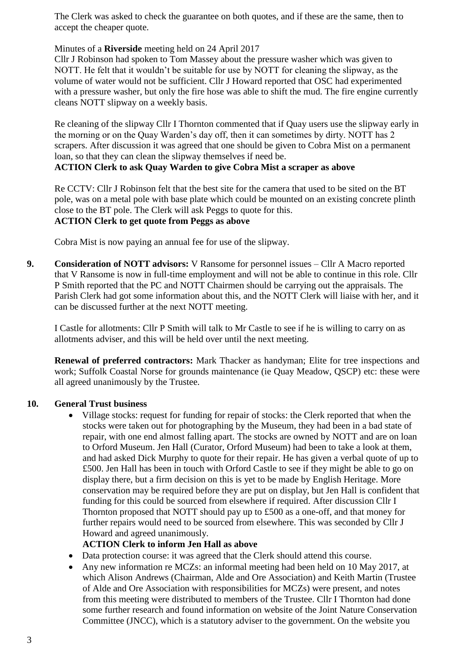The Clerk was asked to check the guarantee on both quotes, and if these are the same, then to accept the cheaper quote.

### Minutes of a **Riverside** meeting held on 24 April 2017

Cllr J Robinson had spoken to Tom Massey about the pressure washer which was given to NOTT. He felt that it wouldn't be suitable for use by NOTT for cleaning the slipway, as the volume of water would not be sufficient. Cllr J Howard reported that OSC had experimented with a pressure washer, but only the fire hose was able to shift the mud. The fire engine currently cleans NOTT slipway on a weekly basis.

Re cleaning of the slipway Cllr I Thornton commented that if Quay users use the slipway early in the morning or on the Quay Warden's day off, then it can sometimes by dirty. NOTT has 2 scrapers. After discussion it was agreed that one should be given to Cobra Mist on a permanent loan, so that they can clean the slipway themselves if need be. **ACTION Clerk to ask Quay Warden to give Cobra Mist a scraper as above**

Re CCTV: Cllr J Robinson felt that the best site for the camera that used to be sited on the BT pole, was on a metal pole with base plate which could be mounted on an existing concrete plinth close to the BT pole. The Clerk will ask Peggs to quote for this. **ACTION Clerk to get quote from Peggs as above**

Cobra Mist is now paying an annual fee for use of the slipway.

**9. Consideration of NOTT advisors:** V Ransome for personnel issues – Cllr A Macro reported that V Ransome is now in full-time employment and will not be able to continue in this role. Cllr P Smith reported that the PC and NOTT Chairmen should be carrying out the appraisals. The Parish Clerk had got some information about this, and the NOTT Clerk will liaise with her, and it can be discussed further at the next NOTT meeting.

I Castle for allotments: Cllr P Smith will talk to Mr Castle to see if he is willing to carry on as allotments adviser, and this will be held over until the next meeting.

**Renewal of preferred contractors:** Mark Thacker as handyman; Elite for tree inspections and work; Suffolk Coastal Norse for grounds maintenance (ie Quay Meadow, QSCP) etc: these were all agreed unanimously by the Trustee.

### **10. General Trust business**

 Village stocks: request for funding for repair of stocks: the Clerk reported that when the stocks were taken out for photographing by the Museum, they had been in a bad state of repair, with one end almost falling apart. The stocks are owned by NOTT and are on loan to Orford Museum. Jen Hall (Curator, Orford Museum) had been to take a look at them, and had asked Dick Murphy to quote for their repair. He has given a verbal quote of up to £500. Jen Hall has been in touch with Orford Castle to see if they might be able to go on display there, but a firm decision on this is yet to be made by English Heritage. More conservation may be required before they are put on display, but Jen Hall is confident that funding for this could be sourced from elsewhere if required. After discussion Cllr I Thornton proposed that NOTT should pay up to £500 as a one-off, and that money for further repairs would need to be sourced from elsewhere. This was seconded by Cllr J Howard and agreed unanimously.

### **ACTION Clerk to inform Jen Hall as above**

- Data protection course: it was agreed that the Clerk should attend this course.
- Any new information re MCZs: an informal meeting had been held on 10 May 2017, at which Alison Andrews (Chairman, Alde and Ore Association) and Keith Martin (Trustee of Alde and Ore Association with responsibilities for MCZs) were present, and notes from this meeting were distributed to members of the Trustee. Cllr I Thornton had done some further research and found information on website of the Joint Nature Conservation Committee (JNCC), which is a statutory adviser to the government. On the website you